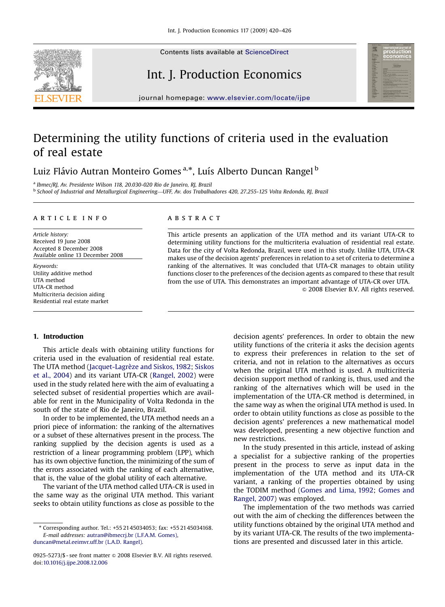Contents lists available at [ScienceDirect](www.sciencedirect.com/science/journal/proeco)

# Int. J. Production Economics



# Determining the utility functions of criteria used in the evaluation of real estate

## Luiz Flávio Autran Monteiro Gomes<sup>a,\*</sup>, Luís Alberto Duncan Rangel <sup>b</sup>

<sup>a</sup> Ibmec/RJ, Av. Presidente Wilson 118, 20.030-020 Rio de Janeiro, RJ, Brazil

<sup>b</sup> School of Industrial and Metallurgical Engineering—UFF, Av. dos Trabalhadores 420, 27.255-125 Volta Redonda, RJ, Brazil

### article info

Article history: Received 19 June 2008 Accepted 8 December 2008 Available online 13 December 2008

Keywords: Utility additive method UTA method UTA-CR method Multicriteria decision aiding Residential real estate market

## **ABSTRACT**

This article presents an application of the UTA method and its variant UTA-CR to determining utility functions for the multicriteria evaluation of residential real estate. Data for the city of Volta Redonda, Brazil, were used in this study. Unlike UTA, UTA-CR makes use of the decision agents' preferences in relation to a set of criteria to determine a ranking of the alternatives. It was concluded that UTA-CR manages to obtain utility functions closer to the preferences of the decision agents as compared to these that result from the use of UTA. This demonstrates an important advantage of UTA-CR over UTA.  $\odot$  2008 Elsevier B.V. All rights reserved.

### 1. Introduction

This article deals with obtaining utility functions for criteria used in the evaluation of residential real estate. The UTA method (Jacquet-Lagrè[ze and Siskos, 1982;](#page--1-0) [Siskos](#page--1-0) [et al., 2004\)](#page--1-0) and its variant UTA-CR ([Rangel, 2002\)](#page--1-0) were used in the study related here with the aim of evaluating a selected subset of residential properties which are available for rent in the Municipality of Volta Redonda in the south of the state of Rio de Janeiro, Brazil.

In order to be implemented, the UTA method needs an a priori piece of information: the ranking of the alternatives or a subset of these alternatives present in the process. The ranking supplied by the decision agents is used as a restriction of a linear programming problem (LPP), which has its own objective function, the minimizing of the sum of the errors associated with the ranking of each alternative, that is, the value of the global utility of each alternative.

The variant of the UTA method called UTA-CR is used in the same way as the original UTA method. This variant seeks to obtain utility functions as close as possible to the

[duncan@metal.eeimvr.uff.br \(L.A.D. Rangel\).](mailto:duncan@metal.eeimvr.uff.br)

decision agents' preferences. In order to obtain the new utility functions of the criteria it asks the decision agents to express their preferences in relation to the set of criteria, and not in relation to the alternatives as occurs when the original UTA method is used. A multicriteria decision support method of ranking is, thus, used and the ranking of the alternatives which will be used in the implementation of the UTA-CR method is determined, in the same way as when the original UTA method is used. In order to obtain utility functions as close as possible to the decision agents' preferences a new mathematical model was developed, presenting a new objective function and new restrictions.

In the study presented in this article, instead of asking a specialist for a subjective ranking of the properties present in the process to serve as input data in the implementation of the UTA method and its UTA-CR variant, a ranking of the properties obtained by using the TODIM method ([Gomes and Lima, 1992](#page--1-0); [Gomes and](#page--1-0) [Rangel, 2007\)](#page--1-0) was employed.

The implementation of the two methods was carried out with the aim of checking the differences between the utility functions obtained by the original UTA method and by its variant UTA-CR. The results of the two implementations are presented and discussed later in this article.



<sup>-</sup> Corresponding author. Tel.: +55 2145034053; fax: +55 2145034168. E-mail addresses: [autran@ibmecrj.br \(L.F.A.M. Gomes\),](mailto:autran@ibmecrj.br)

<sup>0925-5273/\$ -</sup> see front matter  $\circ$  2008 Elsevier B.V. All rights reserved. doi:[10.1016/j.ijpe.2008.12.006](dx.doi.org/10.1016/j.ijpe.2008.12.006)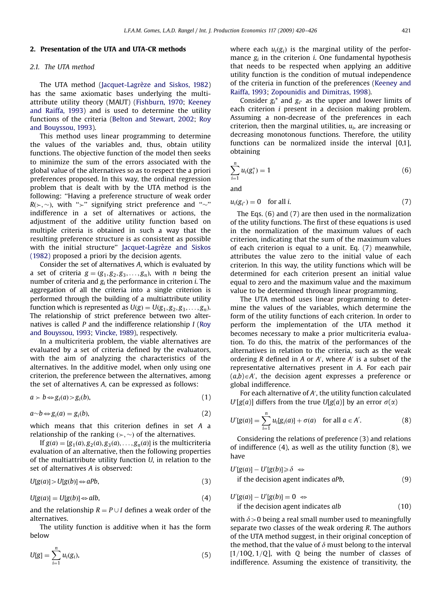#### 2. Presentation of the UTA and UTA-CR methods

### 2.1. The UTA method

The UTA method (Jacquet-Lagrèze and Siskos, 1982) has the same axiomatic bases underlying the multiattribute utility theory (MAUT) ([Fishburn, 1970;](#page--1-0) [Keeney](#page--1-0) [and Raiffa, 1993\)](#page--1-0) and is used to determine the utility functions of the criteria [\(Belton and Stewart, 2002](#page--1-0); [Roy](#page--1-0) [and Bouyssou, 1993\)](#page--1-0).

This method uses linear programming to determine the values of the variables and, thus, obtain utility functions. The objective function of the model then seeks to minimize the sum of the errors associated with the global value of the alternatives so as to respect the a priori preferences proposed. In this way, the ordinal regression problem that is dealt with by the UTA method is the following: ''Having a preference structure of weak order R(>,  $\sim$ ), with ">" signifying strict preference and " $\sim$ " indifference in a set of alternatives or actions, the adjustment of the additive utility function based on multiple criteria is obtained in such a way that the resulting preference structure is as consistent as possible with the initial structure" Jacquet-Lagrèze and Siskos [\(1982\)](#page--1-0) proposed a priori by the decision agents.

Consider the set of alternatives A, which is evaluated by a set of criteria  $g = (g_1, g_2, g_3, \ldots, g_n)$ , with *n* being the number of criteria and  $g_i$  the performance in criterion  $i$ . The aggregation of all the criteria into a single criterion is performed through the building of a multiattribute utility function which is represented as  $U(g) = U(g_1, g_2, g_3, \ldots, g_n)$ . The relationship of strict preference between two alternatives is called P and the indifference relationship I [\(Roy](#page--1-0) [and Bouyssou, 1993;](#page--1-0) [Vincke, 1989\)](#page--1-0), respectively.

In a multicriteria problem, the viable alternatives are evaluated by a set of criteria defined by the evaluators, with the aim of analyzing the characteristics of the alternatives. In the additive model, when only using one criterion, the preference between the alternatives, among the set of alternatives A, can be expressed as follows:

$$
a \succ b \Leftrightarrow g_i(a) > g_i(b), \tag{1}
$$

$$
a \sim b \Leftrightarrow g_i(a) = g_i(b),\tag{2}
$$

which means that this criterion defines in set A a relationship of the ranking ( $\succ, \sim$ ) of the alternatives.

If  $g(a)$  = [ $g_1(a), g_2(a), g_3(a), \ldots, g_n(a)$ ] is the multicriteria evaluation of an alternative, then the following properties of the multiattribute utility function U, in relation to the set of alternatives A is observed:

$$
U[g(a)] > U[g(b)] \Leftrightarrow aPb,\tag{3}
$$

$$
U[g(a)] = U[g(b)] \Leftrightarrow alb,\tag{4}
$$

and the relationship  $R = P \cup I$  defines a weak order of the alternatives.

The utility function is additive when it has the form below

$$
U[g] = \sum_{i=1}^{n} u_i(g_i),
$$
\n(5)

where each  $u_i(g_i)$  is the marginal utility of the performance  $g_i$  in the criterion *i*. One fundamental hypothesis that needs to be respected when applying an additive utility function is the condition of mutual independence of the criteria in function of the preferences ([Keeney and](#page--1-0) [Raiffa, 1993](#page--1-0); [Zopounidis and Dimitras, 1998](#page--1-0)).

Consider  $g_i^*$  and  $g_i^*$  as the upper and lower limits of each criterion i present in a decision making problem. Assuming a non-decrease of the preferences in each criterion, then the marginal utilities,  $u_i$ , are increasing or decreasing monotonous functions. Therefore, the utility functions can be normalized inside the interval [0,1], obtaining

$$
\sum_{i=1}^{n} u_i(g_i^*) = 1 \tag{6}
$$

and

$$
u_i(g_{i^*}) = 0 \quad \text{for all } i. \tag{7}
$$

The Eqs. (6) and (7) are then used in the normalization of the utility functions. The first of these equations is used in the normalization of the maximum values of each criterion, indicating that the sum of the maximum values of each criterion is equal to a unit. Eq. (7) meanwhile, attributes the value zero to the initial value of each criterion. In this way, the utility functions which will be determined for each criterion present an initial value equal to zero and the maximum value and the maximum value to be determined through linear programming.

The UTA method uses linear programming to determine the values of the variables, which determine the form of the utility functions of each criterion. In order to perform the implementation of the UTA method it becomes necessary to make a prior multicriteria evaluation. To do this, the matrix of the performances of the alternatives in relation to the criteria, such as the weak ordering  $R$  defined in  $A$  or  $A'$ , where  $A'$  is a subset of the representative alternatives present in A. For each pair  $(a,b) \in A'$ , the decision agent expresses a preference or global indifference.

For each alternative of  $A'$ , the utility function calculated  $U'[g(a)]$  differs from the true  $U[g(a)]$  by an error  $\sigma(\alpha)$ 

$$
U'[g(a)] = \sum_{i=1}^{n} u_i[g_i(a)] + \sigma(a) \text{ for all } a \in A'. \tag{8}
$$

Considering the relations of preference (3) and relations of indifference (4), as well as the utility function (8), we have

$$
U'[g(a)] - U'[g(b)] \ge \delta \iff
$$
  
if the decision agent indicates *aPb*, (9)

$$
U'[g(a)] - U'[g(b)] = 0 \Leftrightarrow
$$
  
if the decision agent indicates *alb* (10)

with  $\delta$  > 0 being a real small number used to meaningfully separate two classes of the weak ordering R. The authors of the UTA method suggest, in their original conception of the method, that the value of  $\delta$  must belong to the interval  $[1/10Q, 1/Q]$ , with Q being the number of classes of indifference. Assuming the existence of transitivity, the